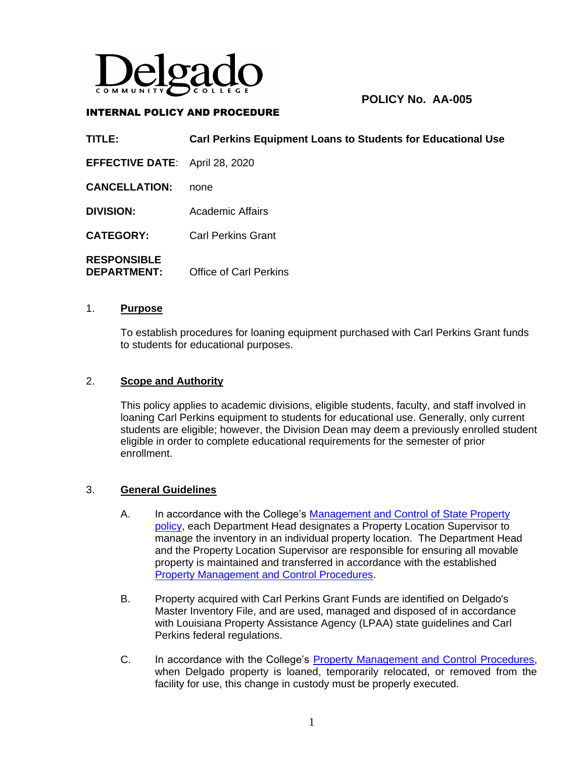

# **POLICY No. AA-005**

### INTERNAL POLICY AND PROCEDURE

**TITLE: Carl Perkins Equipment Loans to Students for Educational Use EFFECTIVE DATE**: April 28, 2020 **CANCELLATION:** none **DIVISION:** Academic Affairs **CATEGORY:** Carl Perkins Grant **RESPONSIBLE DEPARTMENT:** Office of Carl Perkins

#### 1. **Purpose**

To establish procedures for loaning equipment purchased with Carl Perkins Grant funds to students for educational purposes.

#### 2. **Scope and Authority**

This policy applies to academic divisions, eligible students, faculty, and staff involved in loaning Carl Perkins equipment to students for educational use. Generally, only current students are eligible; however, the Division Dean may deem a previously enrolled student eligible in order to complete educational requirements for the semester of prior enrollment.

#### 3. **General Guidelines**

- A. In accordance with the College's [Management and Control of State Property](http://docushare3.dcc.edu/docushare/dsweb/Get/Document-36)  [policy,](http://docushare3.dcc.edu/docushare/dsweb/Get/Document-36) each Department Head designates a Property Location Supervisor to manage the inventory in an individual property location. The Department Head and the Property Location Supervisor are responsible for ensuring all movable property is maintained and transferred in accordance with the established [Property Management and Control Procedures.](http://docushare3.dcc.edu/docushare/dsweb/Get/Document-3865)
- B. Property acquired with Carl Perkins Grant Funds are identified on Delgado's Master Inventory File, and are used, managed and disposed of in accordance with Louisiana Property Assistance Agency (LPAA) state guidelines and Carl Perkins federal regulations.
- C. In accordance with the College's [Property Management and Control Procedures,](http://docushare3.dcc.edu/docushare/dsweb/Get/Document-3865) when Delgado property is loaned, temporarily relocated, or removed from the facility for use, this change in custody must be properly executed.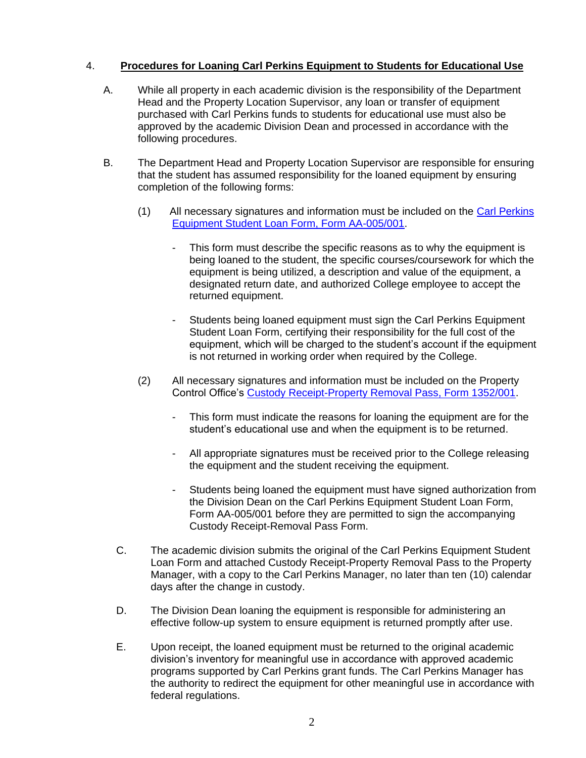## 4. **Procedures for Loaning Carl Perkins Equipment to Students for Educational Use**

- A. While all property in each academic division is the responsibility of the Department Head and the Property Location Supervisor, any loan or transfer of equipment purchased with Carl Perkins funds to students for educational use must also be approved by the academic Division Dean and processed in accordance with the following procedures.
- B. The Department Head and Property Location Supervisor are responsible for ensuring that the student has assumed responsibility for the loaned equipment by ensuring completion of the following forms:
	- (1) All necessary signatures and information must be included on the [Carl Perkins](http://docushare3.dcc.edu/docushare/dsweb/Get/Document-7763)  [Equipment Student Loan Form, Form AA-005/001.](http://docushare3.dcc.edu/docushare/dsweb/Get/Document-7763)
		- This form must describe the specific reasons as to why the equipment is being loaned to the student, the specific courses/coursework for which the equipment is being utilized, a description and value of the equipment, a designated return date, and authorized College employee to accept the returned equipment.
		- Students being loaned equipment must sign the Carl Perkins Equipment Student Loan Form, certifying their responsibility for the full cost of the equipment, which will be charged to the student's account if the equipment is not returned in working order when required by the College.
	- (2) All necessary signatures and information must be included on the Property Control Office's [Custody Receipt-Property Removal Pass, Form 1352/001.](http://docushare3.dcc.edu/docushare/dsweb/Get/Document-3772/1352-001+Custody+Receipt+-+Property+Removal+Pass+11-09.doc)
		- This form must indicate the reasons for loaning the equipment are for the student's educational use and when the equipment is to be returned.
		- All appropriate signatures must be received prior to the College releasing the equipment and the student receiving the equipment.
		- Students being loaned the equipment must have signed authorization from the Division Dean on the Carl Perkins Equipment Student Loan Form, Form AA-005/001 before they are permitted to sign the accompanying Custody Receipt-Removal Pass Form.
	- C. The academic division submits the original of the Carl Perkins Equipment Student Loan Form and attached Custody Receipt-Property Removal Pass to the Property Manager, with a copy to the Carl Perkins Manager, no later than ten (10) calendar days after the change in custody.
	- D. The Division Dean loaning the equipment is responsible for administering an effective follow-up system to ensure equipment is returned promptly after use.
	- E. Upon receipt, the loaned equipment must be returned to the original academic division's inventory for meaningful use in accordance with approved academic programs supported by Carl Perkins grant funds. The Carl Perkins Manager has the authority to redirect the equipment for other meaningful use in accordance with federal regulations.